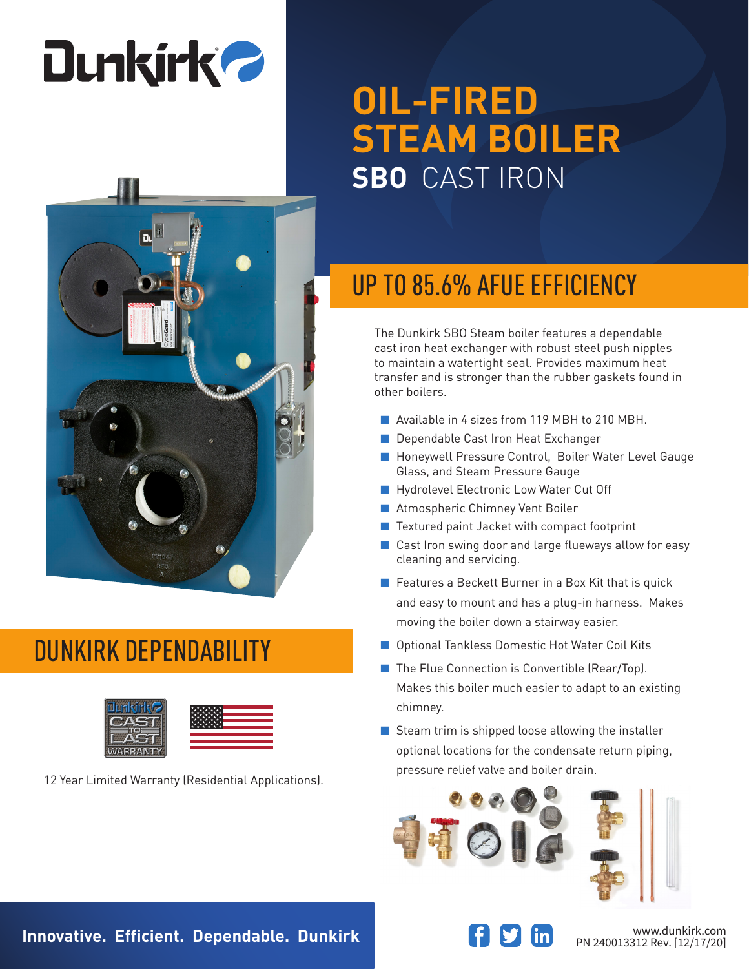# **Dunkirk 2**



### DUNKIRK DEPENDABILITY



pressure relief valve and boiler drain. 12 Year Limited Warranty (Residential Applications).

## **OIL-FIRED STEAM BOILER SBO** CAST IRON

## UP TO 85.6% AFUE EFFICIENCY

The Dunkirk SBO Steam boiler features a dependable cast iron heat exchanger with robust steel push nipples to maintain a watertight seal. Provides maximum heat transfer and is stronger than the rubber gaskets found in other boilers.

- Available in 4 sizes from 119 MBH to 210 MBH.
- Dependable Cast Iron Heat Exchanger
- Honeywell Pressure Control, Boiler Water Level Gauge Glass, and Steam Pressure Gauge
- Hydrolevel Electronic Low Water Cut Off
- Atmospheric Chimney Vent Boiler
- Textured paint Jacket with compact footprint
- Cast Iron swing door and large flueways allow for easy cleaning and servicing.
- Features a Beckett Burner in a Box Kit that is quick and easy to mount and has a plug-in harness. Makes moving the boiler down a stairway easier.
- Optional Tankless Domestic Hot Water Coil Kits
- The Flue Connection is Convertible (Rear/Top). Makes this boiler much easier to adapt to an existing chimney.
- Steam trim is shipped loose allowing the installer optional locations for the condensate return piping,





PN 240013312 Rev. [12/17/20]

**Innovative. Efficient. Dependable. Dunkirk Weiter Areas and Transformation of the Magnetic Www.dunkirk.com**